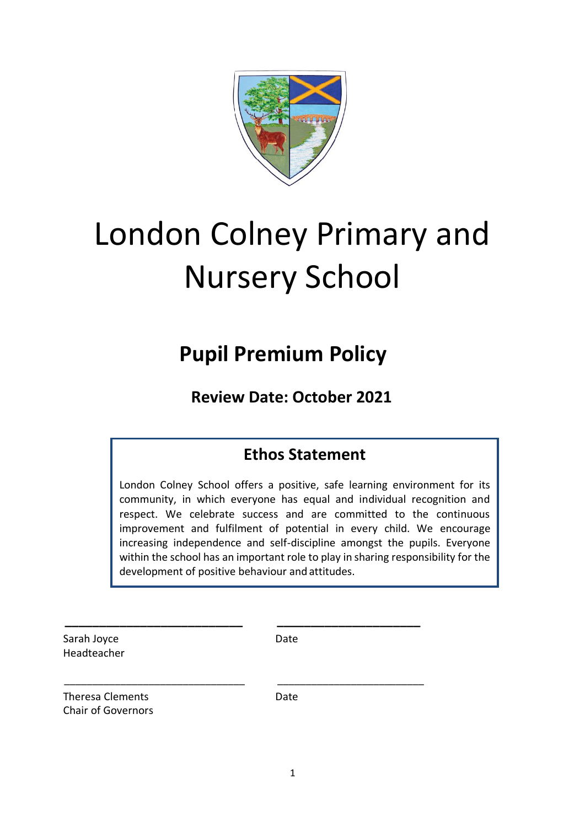

# London Colney Primary and Nursery School

## **Pupil Premium Policy**

**Review Date: October 2021**

### **Ethos Statement**

London Colney School offers a positive, safe learning environment for its community, in which everyone has equal and individual recognition and respect. We celebrate success and are committed to the continuous improvement and fulfilment of potential in every child. We encourage increasing independence and self-discipline amongst the pupils. Everyone within the school has an important role to play in sharing responsibility for the development of positive behaviour and attitudes.

Sarah Joyce Date Headteacher

 **\_\_\_\_\_\_\_\_\_\_\_\_\_\_\_\_\_\_\_\_\_\_\_\_\_\_ \_\_\_\_\_\_\_\_\_\_\_\_\_\_\_\_\_\_\_\_\_**

\_\_\_\_\_\_\_\_\_\_\_\_\_\_\_\_\_\_\_\_\_\_\_\_\_\_\_\_\_\_\_\_ \_\_\_\_\_\_\_\_\_\_\_\_\_\_\_\_\_\_\_\_\_\_\_\_\_\_

Theresa Clements **Date** Chair of Governors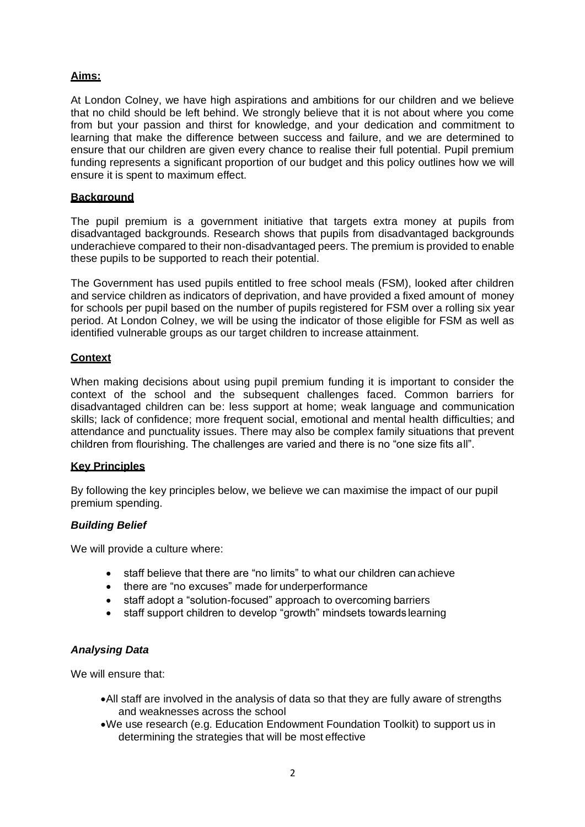#### **Aims:**

At London Colney, we have high aspirations and ambitions for our children and we believe that no child should be left behind. We strongly believe that it is not about where you come from but your passion and thirst for knowledge, and your dedication and commitment to learning that make the difference between success and failure, and we are determined to ensure that our children are given every chance to realise their full potential. Pupil premium funding represents a significant proportion of our budget and this policy outlines how we will ensure it is spent to maximum effect.

#### **Background**

The pupil premium is a government initiative that targets extra money at pupils from disadvantaged backgrounds. Research shows that pupils from disadvantaged backgrounds underachieve compared to their non-disadvantaged peers. The premium is provided to enable these pupils to be supported to reach their potential.

The Government has used pupils entitled to free school meals (FSM), looked after children and service children as indicators of deprivation, and have provided a fixed amount of money for schools per pupil based on the number of pupils registered for FSM over a rolling six year period. At London Colney, we will be using the indicator of those eligible for FSM as well as identified vulnerable groups as our target children to increase attainment.

#### **Context**

When making decisions about using pupil premium funding it is important to consider the context of the school and the subsequent challenges faced. Common barriers for disadvantaged children can be: less support at home; weak language and communication skills; lack of confidence; more frequent social, emotional and mental health difficulties; and attendance and punctuality issues. There may also be complex family situations that prevent children from flourishing. The challenges are varied and there is no "one size fits all".

#### **Key Principles**

By following the key principles below, we believe we can maximise the impact of our pupil premium spending.

#### *Building Belief*

We will provide a culture where:

- staff believe that there are "no limits" to what our children can achieve
- there are "no excuses" made for underperformance
- staff adopt a "solution-focused" approach to overcoming barriers
- staff support children to develop "growth" mindsets towards learning

#### *Analysing Data*

We will ensure that:

- •All staff are involved in the analysis of data so that they are fully aware of strengths and weaknesses across the school
- •We use research (e.g. Education Endowment Foundation Toolkit) to support us in determining the strategies that will be most effective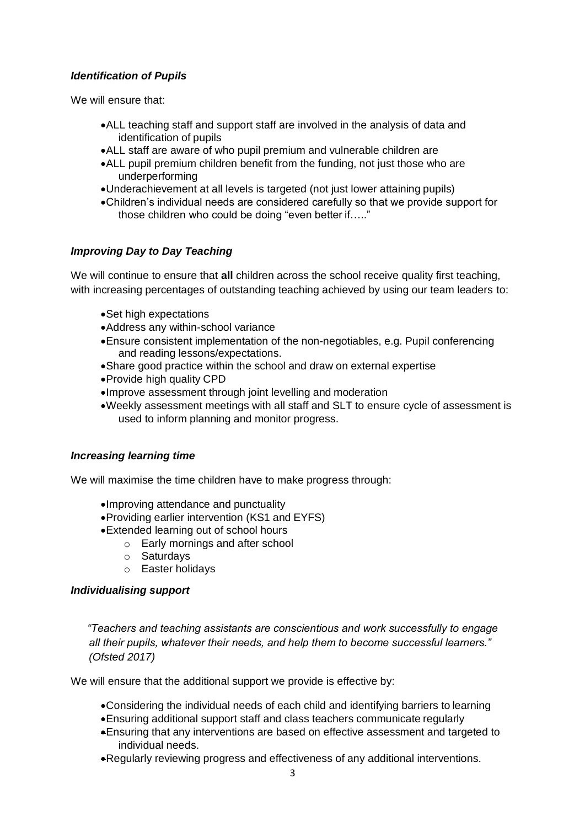#### *Identification of Pupils*

We will ensure that:

- •ALL teaching staff and support staff are involved in the analysis of data and identification of pupils
- •ALL staff are aware of who pupil premium and vulnerable children are
- •ALL pupil premium children benefit from the funding, not just those who are underperforming
- •Underachievement at all levels is targeted (not just lower attaining pupils)
- •Children's individual needs are considered carefully so that we provide support for those children who could be doing "even better if….."

#### *Improving Day to Day Teaching*

We will continue to ensure that **all** children across the school receive quality first teaching, with increasing percentages of outstanding teaching achieved by using our team leaders to:

- •Set high expectations
- •Address any within-school variance
- •Ensure consistent implementation of the non-negotiables, e.g. Pupil conferencing and reading lessons/expectations.
- •Share good practice within the school and draw on external expertise
- •Provide high quality CPD
- •Improve assessment through joint levelling and moderation
- •Weekly assessment meetings with all staff and SLT to ensure cycle of assessment is used to inform planning and monitor progress.

#### *Increasing learning time*

We will maximise the time children have to make progress through:

- •Improving attendance and punctuality
- •Providing earlier intervention (KS1 and EYFS)
- •Extended learning out of school hours
	- o Early mornings and after school
	- o Saturdays
	- o Easter holidays

#### *Individualising support*

*"Teachers and teaching assistants are conscientious and work successfully to engage all their pupils, whatever their needs, and help them to become successful learners." (Ofsted 2017)*

We will ensure that the additional support we provide is effective by:

- •Considering the individual needs of each child and identifying barriers to learning
- •Ensuring additional support staff and class teachers communicate regularly
- •Ensuring that any interventions are based on effective assessment and targeted to individual needs.
- •Regularly reviewing progress and effectiveness of any additional interventions.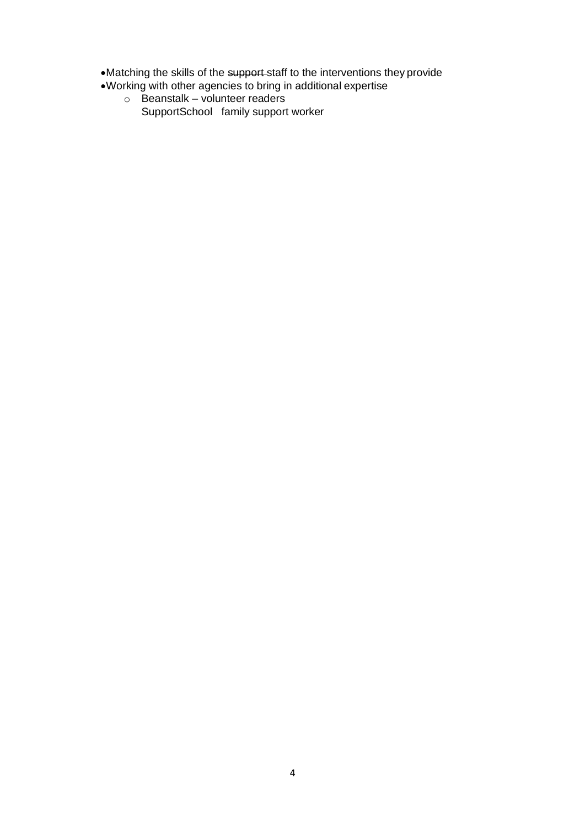•Matching the skills of the support staff to the interventions they provide

- •Working with other agencies to bring in additional expertise
	- $\circ$  Beanstalk volunteer readers SupportSchool family support worker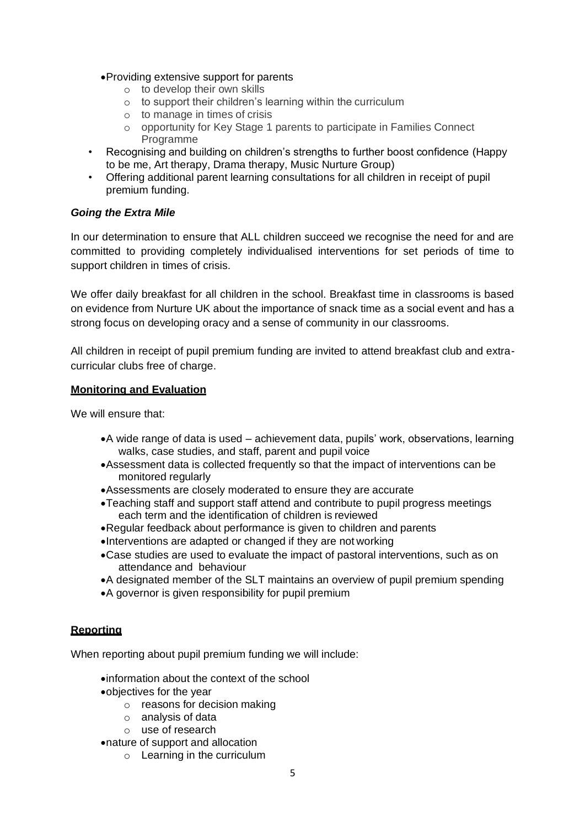#### •Providing extensive support for parents

- o to develop their own skills
- o to support their children's learning within the curriculum
- o to manage in times of crisis
- o opportunity for Key Stage 1 parents to participate in Families Connect Programme
- Recognising and building on children's strengths to further boost confidence (Happy to be me, Art therapy, Drama therapy, Music Nurture Group)
- Offering additional parent learning consultations for all children in receipt of pupil premium funding.

#### *Going the Extra Mile*

In our determination to ensure that ALL children succeed we recognise the need for and are committed to providing completely individualised interventions for set periods of time to support children in times of crisis.

We offer daily breakfast for all children in the school. Breakfast time in classrooms is based on evidence from Nurture UK about the importance of snack time as a social event and has a strong focus on developing oracy and a sense of community in our classrooms.

All children in receipt of pupil premium funding are invited to attend breakfast club and extracurricular clubs free of charge.

#### **Monitoring and Evaluation**

We will ensure that:

- •A wide range of data is used achievement data, pupils' work, observations, learning walks, case studies, and staff, parent and pupil voice
- •Assessment data is collected frequently so that the impact of interventions can be monitored regularly
- •Assessments are closely moderated to ensure they are accurate
- •Teaching staff and support staff attend and contribute to pupil progress meetings each term and the identification of children is reviewed
- •Regular feedback about performance is given to children and parents
- •Interventions are adapted or changed if they are not working
- •Case studies are used to evaluate the impact of pastoral interventions, such as on attendance and behaviour
- •A designated member of the SLT maintains an overview of pupil premium spending
- •A governor is given responsibility for pupil premium

#### **Reporting**

When reporting about pupil premium funding we will include:

- •information about the context of the school
- •objectives for the year
	- o reasons for decision making
	- o analysis of data
	- o use of research
- •nature of support and allocation
	- o Learning in the curriculum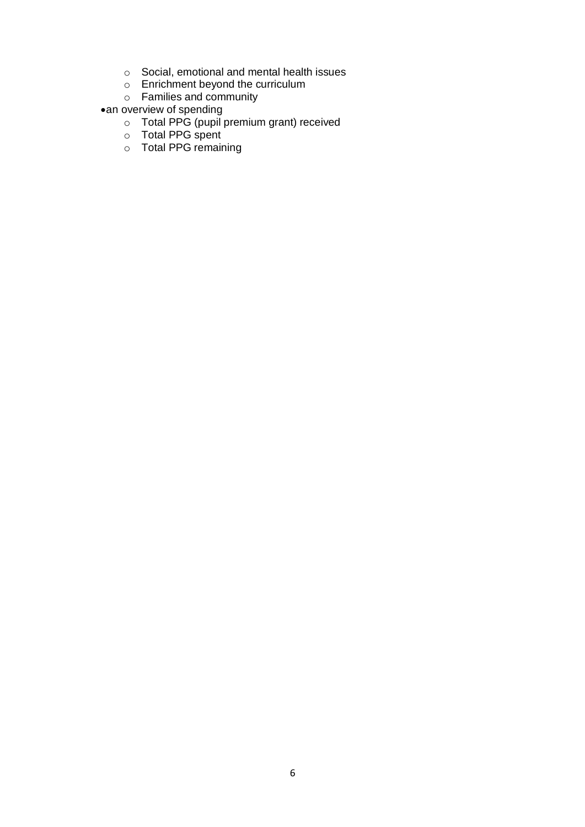- o Social, emotional and mental health issues
- o Enrichment beyond the curriculum
- o Families and community
- •an overview of spending
	- o Total PPG (pupil premium grant) received
	- o Total PPG spent
	- o Total PPG remaining